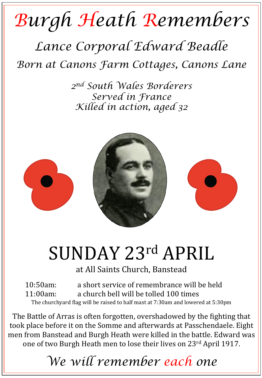## *Burgh Heath Remembers*

### *Lance Corporal Edward Beadle Born at Canons Farm Cottages, Canons Lane*

*2nd South Wales Borderers Served in France Killed in action, aged 32* 



# SUNDAY 23rd APRIL

at All Saints Church, Banstead

10:50am: a short service of remembrance will be held 11:00am: a church bell will be tolled 100 times The churchyard flag will be raised to half mast at 7:30am and lowered at 5:30pm

The Battle of Arras is often forgotten, overshadowed by the fighting that took place before it on the Somme and afterwards at Passchendaele. Eight men from Banstead and Burgh Heath were killed in the battle. Edward was one of two Burgh Heath men to lose their lives on 23<sup>rd</sup> April 1917.

## *We will remember each one*